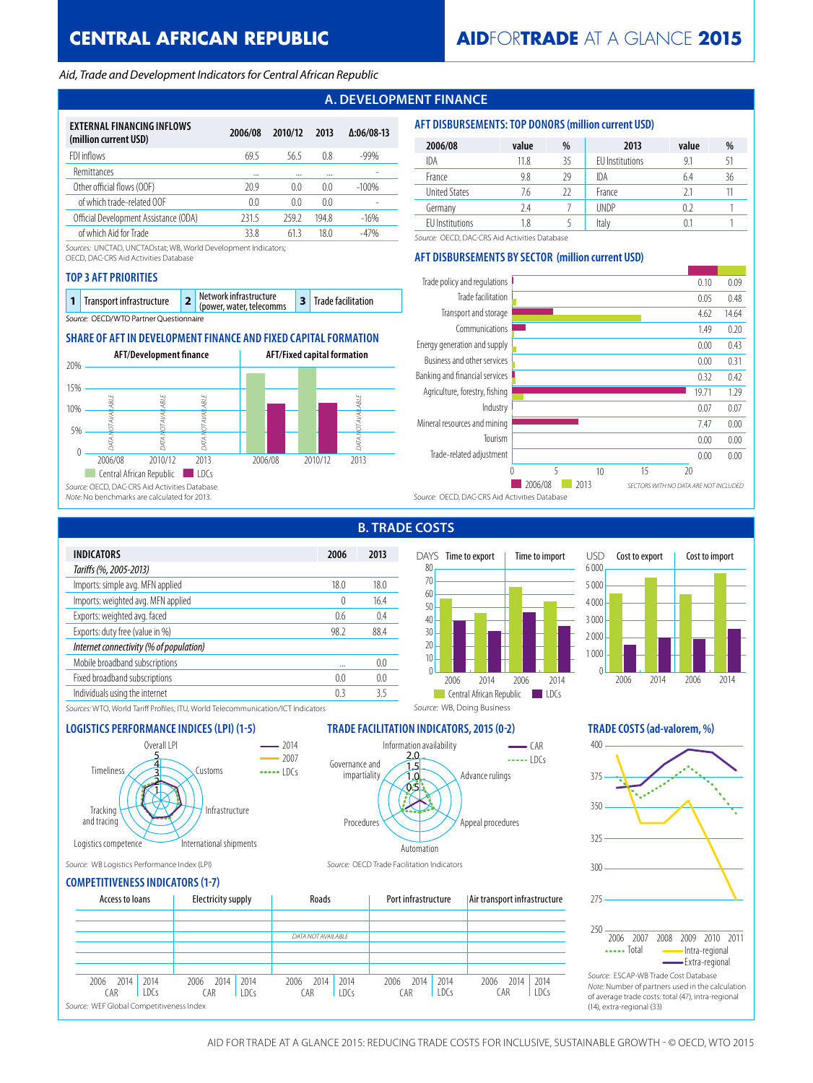# **CENTRAL AFRICAN REPUBLIC**

### *Aid, Trade and Development Indicators for Central African Republic*

# **A. DEVELOPMENT FINANCE**

| EXTERNAL FINANCING INFLOWS<br>(million current USD) | 2006/08        | 2010/12 | 2013           | $\Delta:06/08-13$ |
|-----------------------------------------------------|----------------|---------|----------------|-------------------|
| FDI inflows                                         | 69.5           | 56.5    | 0.8            | $-99%$            |
| Remittances                                         |                |         |                |                   |
| Other official flows (OOF)                          | 20.9           | (0.0)   | 0 <sub>0</sub> | $-100%$           |
| of which trade-related OOF                          | 0 <sub>0</sub> | 0.0     | 0.0            |                   |
| Official Development Assistance (ODA)               | 2315           | 259.2   | 194.8          | $-16%$            |
| of which Aid for Trade                              | 33.8           | 613     | 18 O           | -47%              |

*Sources:* UNCTAD, UNCTADstat; WB, World Development Indicators;

OECD, DAC-CRS Aid Activities Database

### **TOP 3 AFT PRIORITIES**

| <b>1</b> Transport infrastructure      |  | <b>2</b> Network infrastructure<br>(power, water, telecomms |  | 3 Trade facilitation |  |  |
|----------------------------------------|--|-------------------------------------------------------------|--|----------------------|--|--|
| Source: OFCD/WTO Partner Questionnaire |  |                                                             |  |                      |  |  |

## **SHARE OF AFT IN DEVELOPMENT FINANCE AND FIXED CAPITAL FORMATION**



| 2006/08              | value | %  | 2013                   | value | %  |
|----------------------|-------|----|------------------------|-------|----|
| IDA                  | 11.8  | 35 | <b>EU</b> Institutions | 9.1   | 51 |
| France               | 9.8   | 29 | <b>IDA</b>             | 6.4   | 36 |
| <b>United States</b> | 7.6   | 22 | France                 | 21    |    |
| Germany              | 7.4   |    | <b>UNDP</b>            | 0.2   |    |
| FU Institutions      | 1.8   |    | Italy                  |       |    |

*Source:* OECD, DAC-CRS Aid Activities Database

## **AFT DISBURSEMENTS BY SECTOR (million current USD)**

**AFT DISBURSEMENTS: TOP DONORS (million current USD)**



| 2006 | 2013           |
|------|----------------|
|      |                |
| 18.0 | 18.0           |
| 0    | 16.4           |
| 0.6  | 0.4            |
| 98.2 | 88.4           |
|      |                |
|      | 0 <sub>0</sub> |
| 0.0  | 00             |
| 03   | 35             |
|      |                |

# **B. TRADE COSTS**





*Sources:* WTO, World Tariff Profiles; ITU, World Telecommunication/ICT Indicators



# **LOGISTICS PERFORMANCE INDICES (LPI) (1-5) TRADE FACILITATION INDICATORS, 2015 (0-2) TRADE COSTS (ad-valorem, %)**

*Source:* WB, Doing Business



*Source:* WB Logistics Performance Index (LPI) *Source:* OECD Trade Facilitation Indicators



# **COMPETITIVENESS INDICATORS (1-7)**

| Access to loans                                                                  | Electricity supply                  | Roads                               | Port infrastructure                 | Air transport infrastructure        | 275                                                                                                     |
|----------------------------------------------------------------------------------|-------------------------------------|-------------------------------------|-------------------------------------|-------------------------------------|---------------------------------------------------------------------------------------------------------|
|                                                                                  |                                     |                                     |                                     |                                     |                                                                                                         |
|                                                                                  |                                     | DATA NOT AVAILABLE                  |                                     |                                     | 250<br>2007<br>- 20<br>2006<br>$\cdots$ Total                                                           |
| 2014<br>2006<br>2014<br>C AR<br>1DCs<br>Source: WEF Global Competitiveness Index | 2014<br>2014<br>2006<br>CAR<br>1DCs | 2014<br>2014<br>2006<br>CAR<br>1DCs | 2006<br>2014<br>2014<br>CAR<br>IDCs | 2014<br>2014<br>2006<br>LDCs<br>CAR | Source: ESCAP-WB Trad<br>Note: Number of partne<br>of average trade costs:<br>(14), extra-regional (33) |